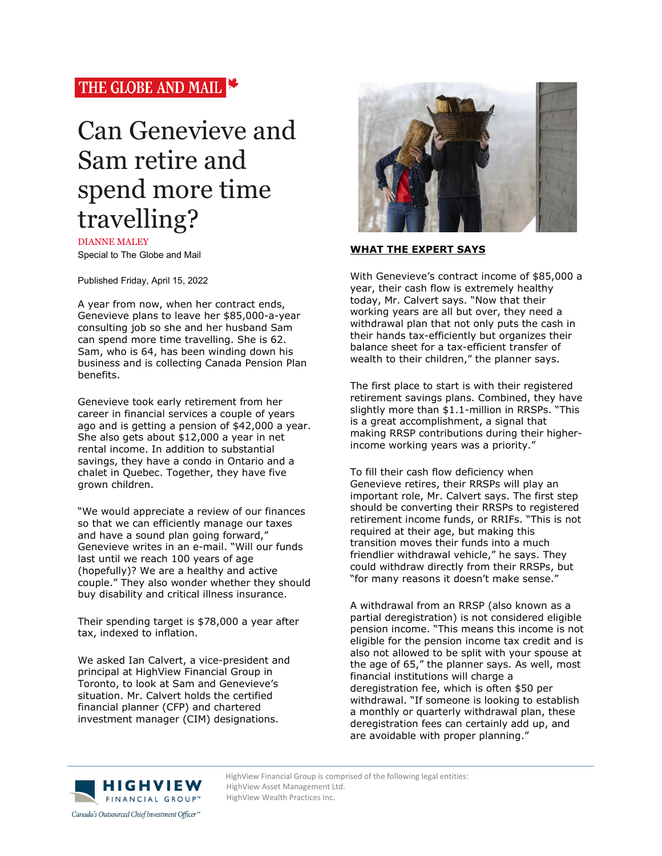# THE GLOBE AND MAIL

# Can Genevieve and Sam retire and spend more time travelling?

DIANNE MALEY Special to The Globe and Mail

Published Friday, April 15, 2022

A year from now, when her contract ends, Genevieve plans to leave her \$85,000-a-year consulting job so she and her husband Sam can spend more time travelling. She is 62. Sam, who is 64, has been winding down his business and is collecting Canada Pension Plan benefits.

Genevieve took early retirement from her career in financial services a couple of years ago and is getting a pension of \$42,000 a year. She also gets about \$12,000 a year in net rental income. In addition to substantial savings, they have a condo in Ontario and a chalet in Quebec. Together, they have five grown children.

"We would appreciate a review of our finances so that we can efficiently manage our taxes and have a sound plan going forward," Genevieve writes in an e-mail. "Will our funds last until we reach 100 years of age (hopefully)? We are a healthy and active couple." They also wonder whether they should buy disability and critical illness insurance.

Their spending target is \$78,000 a year after tax, indexed to inflation.

We asked Ian Calvert, a vice-president and principal at HighView Financial Group in Toronto, to look at Sam and Genevieve's situation. Mr. Calvert holds the certified financial planner (CFP) and chartered investment manager (CIM) designations.



## **WHAT THE EXPERT SAYS**

With Genevieve's contract income of \$85,000 a year, their cash flow is extremely healthy today, Mr. Calvert says. "Now that their working years are all but over, they need a withdrawal plan that not only puts the cash in their hands tax-efficiently but organizes their balance sheet for a tax-efficient transfer of wealth to their children," the planner says.

The first place to start is with their registered retirement savings plans. Combined, they have slightly more than \$1.1-million in RRSPs. "This is a great accomplishment, a signal that making RRSP contributions during their higherincome working years was a priority."

To fill their cash flow deficiency when Genevieve retires, their RRSPs will play an important role, Mr. Calvert says. The first step should be converting their RRSPs to registered retirement income funds, or RRIFs. "This is not required at their age, but making this transition moves their funds into a much friendlier withdrawal vehicle," he says. They could withdraw directly from their RRSPs, but "for many reasons it doesn't make sense."

A withdrawal from an RRSP (also known as a partial deregistration) is not considered eligible pension income. "This means this income is not eligible for the pension income tax credit and is also not allowed to be split with your spouse at the age of 65," the planner says. As well, most financial institutions will charge a deregistration fee, which is often \$50 per withdrawal. "If someone is looking to establish a monthly or quarterly withdrawal plan, these deregistration fees can certainly add up, and are avoidable with proper planning."



HighView Financial Group is comprised of the following legal entities:<br>
HighView Asset Management Ltd. HighView Asset Management Ltd. HighView Wealth Practices Inc.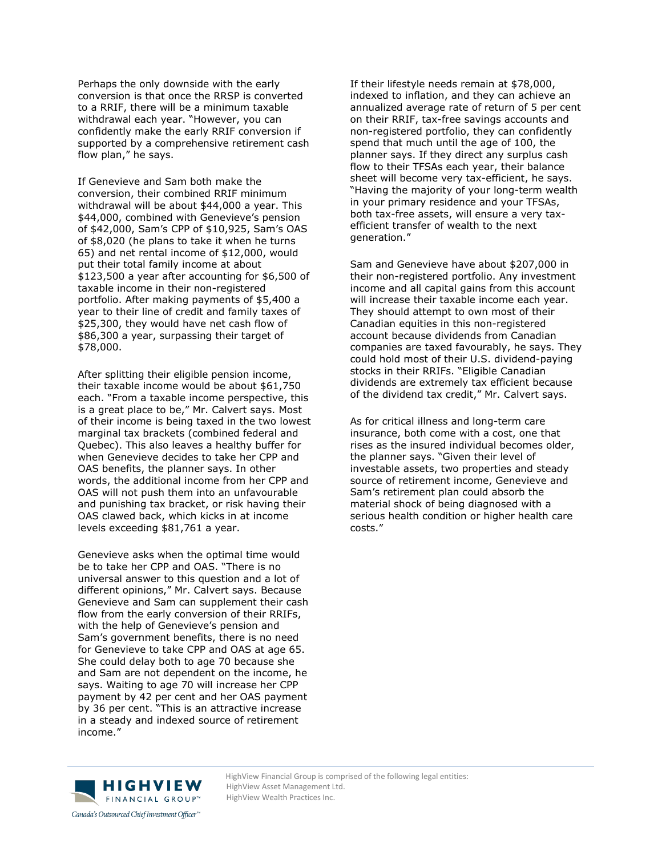Perhaps the only downside with the early conversion is that once the RRSP is converted to a RRIF, there will be a minimum taxable withdrawal each year. "However, you can confidently make the early RRIF conversion if supported by a comprehensive retirement cash flow plan," he says.

If Genevieve and Sam both make the conversion, their combined RRIF minimum withdrawal will be about \$44,000 a year. This \$44,000, combined with Genevieve's pension of \$42,000, Sam's CPP of \$10,925, Sam's OAS of \$8,020 (he plans to take it when he turns 65) and net rental income of \$12,000, would put their total family income at about \$123,500 a year after accounting for \$6,500 of taxable income in their non-registered portfolio. After making payments of \$5,400 a year to their line of credit and family taxes of \$25,300, they would have net cash flow of \$86,300 a year, surpassing their target of \$78,000.

After splitting their eligible pension income, their taxable income would be about \$61,750 each. "From a taxable income perspective, this is a great place to be," Mr. Calvert says. Most of their income is being taxed in the two lowest marginal tax brackets (combined federal and Quebec). This also leaves a healthy buffer for when Genevieve decides to take her CPP and OAS benefits, the planner says. In other words, the additional income from her CPP and OAS will not push them into an unfavourable and punishing tax bracket, or risk having their OAS clawed back, which kicks in at income levels exceeding \$81,761 a year.

Genevieve asks when the optimal time would be to take her CPP and OAS. "There is no universal answer to this question and a lot of different opinions," Mr. Calvert says. Because Genevieve and Sam can supplement their cash flow from the early conversion of their RRIFs, with the help of Genevieve's pension and Sam's government benefits, there is no need for Genevieve to take CPP and OAS at age 65. She could delay both to age 70 because she and Sam are not dependent on the income, he says. Waiting to age 70 will increase her CPP payment by 42 per cent and her OAS payment by 36 per cent. "This is an attractive increase in a steady and indexed source of retirement income."

If their lifestyle needs remain at \$78,000, indexed to inflation, and they can achieve an annualized average rate of return of 5 per cent on their RRIF, tax-free savings accounts and non-registered portfolio, they can confidently spend that much until the age of 100, the planner says. If they direct any surplus cash flow to their TFSAs each year, their balance sheet will become very tax-efficient, he says. "Having the majority of your long-term wealth in your primary residence and your TFSAs, both tax-free assets, will ensure a very taxefficient transfer of wealth to the next generation."

Sam and Genevieve have about \$207,000 in their non-registered portfolio. Any investment income and all capital gains from this account will increase their taxable income each year. They should attempt to own most of their Canadian equities in this non-registered account because dividends from Canadian companies are taxed favourably, he says. They could hold most of their U.S. dividend-paying stocks in their RRIFs. "Eligible Canadian dividends are extremely tax efficient because of the dividend tax credit," Mr. Calvert says.

As for critical illness and long-term care insurance, both come with a cost, one that rises as the insured individual becomes older, the planner says. "Given their level of investable assets, two properties and steady source of retirement income, Genevieve and Sam's retirement plan could absorb the material shock of being diagnosed with a serious health condition or higher health care costs."



HighView Financial Group is comprised of the following legal entities:<br>
H | G H V | E W HighView Asset Management Ltd. HighView Asset Management Ltd. HighView Wealth Practices Inc.